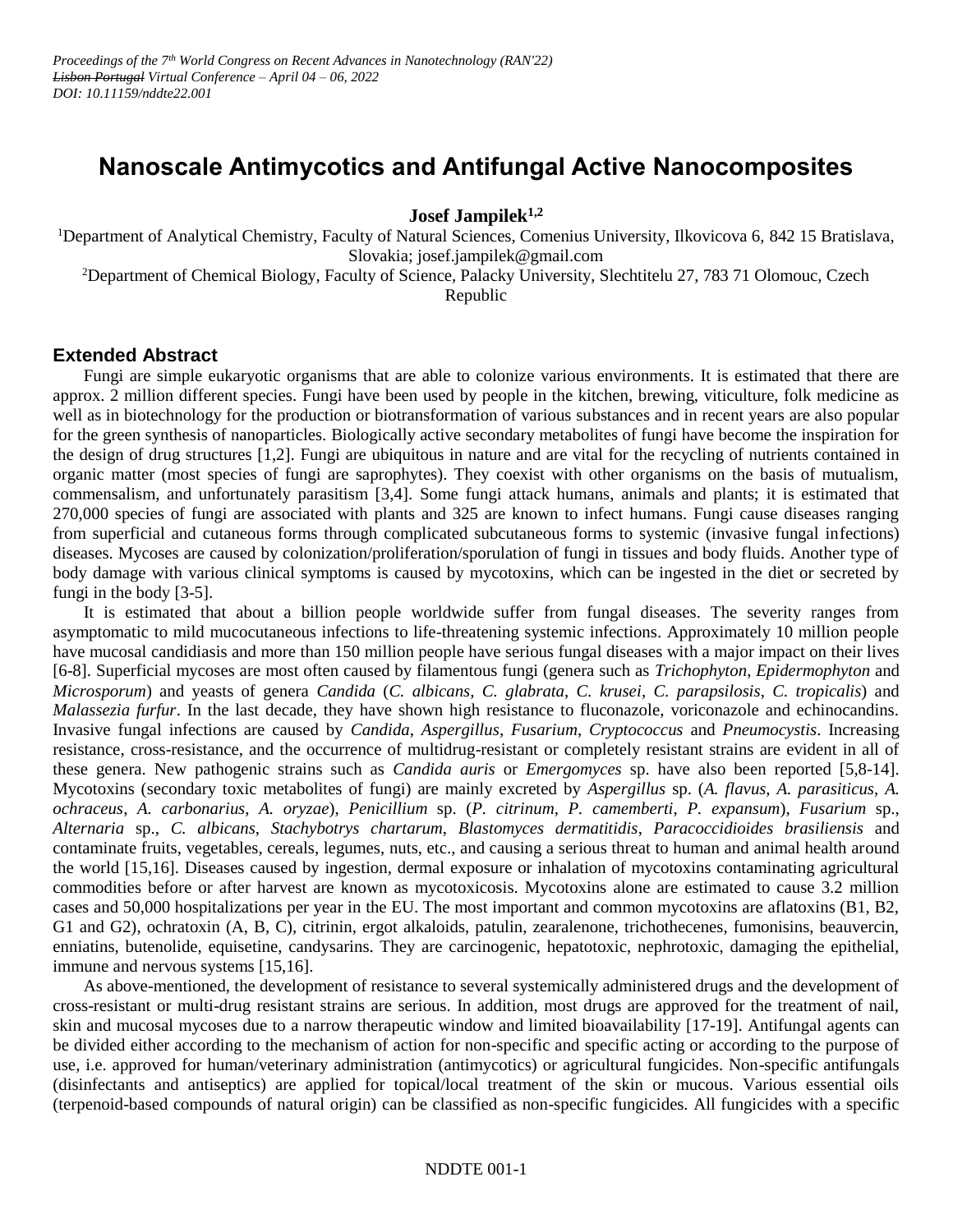## **Nanoscale Antimycotics and Antifungal Active Nanocomposites**

**Josef Jampilek1,2**

<sup>1</sup>Department of Analytical Chemistry, Faculty of Natural Sciences, Comenius University, Ilkovicova 6, 842 15 Bratislava, Slovakia; josef.jampilek@gmail.com

<sup>2</sup>Department of Chemical Biology, Faculty of Science, Palacky University, Slechtitelu 27, 783 71 Olomouc, Czech Republic

## **Extended Abstract**

Fungi are simple eukaryotic organisms that are able to colonize various environments. It is estimated that there are approx. 2 million different species. Fungi have been used by people in the kitchen, brewing, viticulture, folk medicine as well as in biotechnology for the production or biotransformation of various substances and in recent years are also popular for the green synthesis of nanoparticles. Biologically active secondary metabolites of fungi have become the inspiration for the design of drug structures [1,2]. Fungi are ubiquitous in nature and are vital for the recycling of nutrients contained in organic matter (most species of fungi are saprophytes). They coexist with other organisms on the basis of mutualism, commensalism, and unfortunately parasitism [3,4]. Some fungi attack humans, animals and plants; it is estimated that 270,000 species of fungi are associated with plants and 325 are known to infect humans. Fungi cause diseases ranging from superficial and cutaneous forms through complicated subcutaneous forms to systemic (invasive fungal infections) diseases. Mycoses are caused by colonization/proliferation/sporulation of fungi in tissues and body fluids. Another type of body damage with various clinical symptoms is caused by mycotoxins, which can be ingested in the diet or secreted by fungi in the body [3-5].

It is estimated that about a billion people worldwide suffer from fungal diseases. The severity ranges from asymptomatic to mild mucocutaneous infections to life-threatening systemic infections. Approximately 10 million people have mucosal candidiasis and more than 150 million people have serious fungal diseases with a major impact on their lives [6-8]. Superficial mycoses are most often caused by filamentous fungi (genera such as *Trichophyton*, *Epidermophyton* and *Microsporum*) and yeasts of genera *Candida* (*C. albicans*, *C. glabrata*, *C. krusei*, *C. parapsilosis*, *C. tropicalis*) and *Malassezia furfur*. In the last decade, they have shown high resistance to fluconazole, voriconazole and echinocandins. Invasive fungal infections are caused by *Candida*, *Aspergillus*, *Fusarium*, *Cryptococcus* and *Pneumocystis*. Increasing resistance, cross-resistance, and the occurrence of multidrug-resistant or completely resistant strains are evident in all of these genera. New pathogenic strains such as *Candida auris* or *Emergomyces* sp. have also been reported [5,8-14]. Mycotoxins (secondary toxic metabolites of fungi) are mainly excreted by *Aspergillus* sp. (*A. flavus*, *A. parasiticus*, *A. ochraceus*, *A. carbonarius*, *A. oryzae*), *Penicillium* sp. (*P. citrinum*, *P. camemberti*, *P. expansum*), *Fusarium* sp., *Alternaria* sp., *C. albicans*, *Stachybotrys chartarum*, *Blastomyces dermatitidis*, *Paracoccidioides brasiliensis* and contaminate fruits, vegetables, cereals, legumes, nuts, etc., and causing a serious threat to human and animal health around the world [15,16]. Diseases caused by ingestion, dermal exposure or inhalation of mycotoxins contaminating agricultural commodities before or after harvest are known as mycotoxicosis. Mycotoxins alone are estimated to cause 3.2 million cases and 50,000 hospitalizations per year in the EU. The most important and common mycotoxins are aflatoxins (B1, B2, G1 and G2), ochratoxin (A, B, C), citrinin, ergot alkaloids, patulin, zearalenone, trichothecenes, fumonisins, beauvercin, enniatins, butenolide, equisetine, candysarins. They are carcinogenic, hepatotoxic, nephrotoxic, damaging the epithelial, immune and nervous systems [15,16].

As above-mentioned, the development of resistance to several systemically administered drugs and the development of cross-resistant or multi-drug resistant strains are serious. In addition, most drugs are approved for the treatment of nail, skin and mucosal mycoses due to a narrow therapeutic window and limited bioavailability [17-19]. Antifungal agents can be divided either according to the mechanism of action for non-specific and specific acting or according to the purpose of use, i.e. approved for human/veterinary administration (antimycotics) or agricultural fungicides. Non-specific antifungals (disinfectants and antiseptics) are applied for topical/local treatment of the skin or mucous. Various essential oils (terpenoid-based compounds of natural origin) can be classified as non-specific fungicides. All fungicides with a specific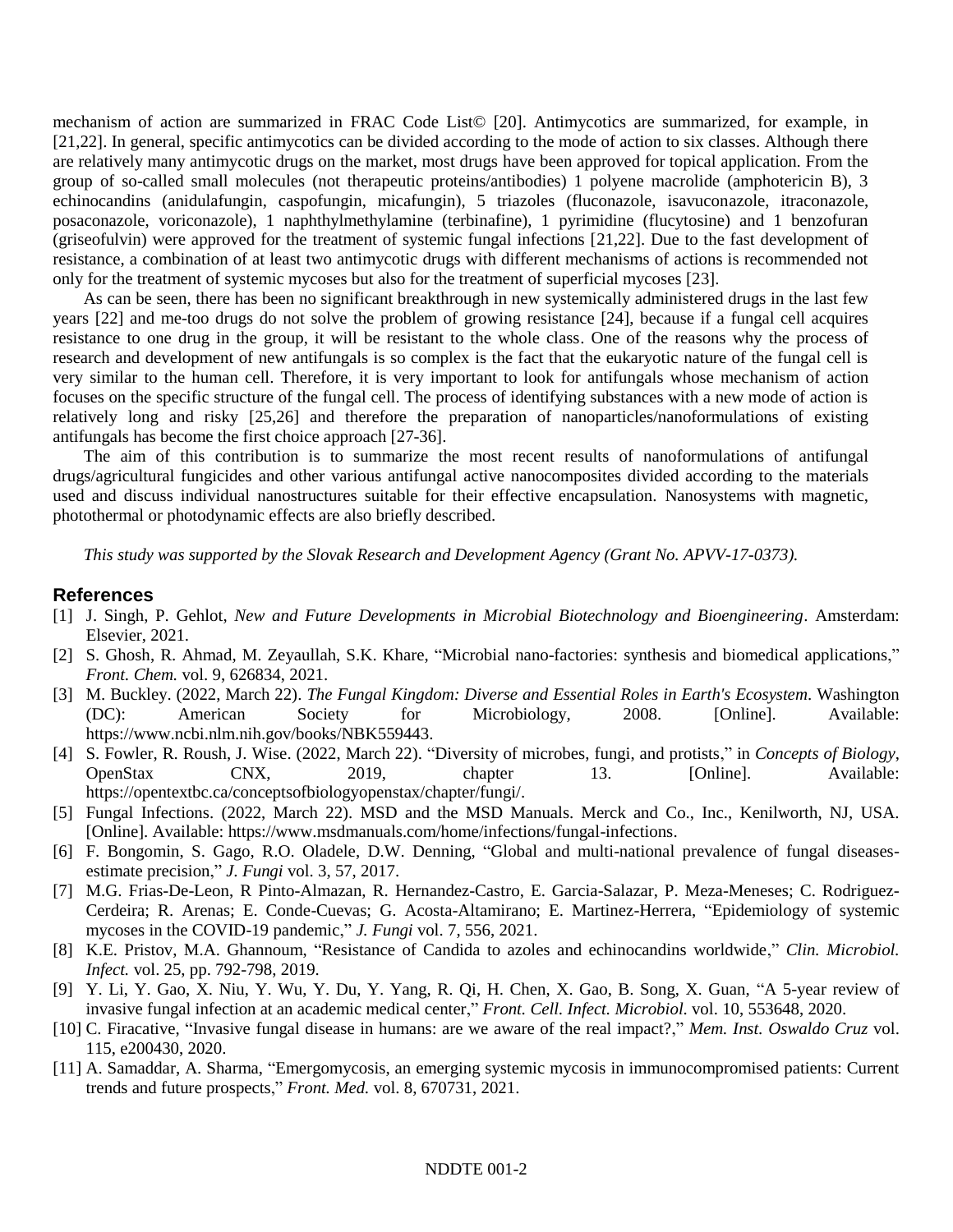mechanism of action are summarized in FRAC Code List© [20]. Antimycotics are summarized, for example, in [21,22]. In general, specific antimycotics can be divided according to the mode of action to six classes. Although there are relatively many antimycotic drugs on the market, most drugs have been approved for topical application. From the group of so-called small molecules (not therapeutic proteins/antibodies) 1 polyene macrolide (amphotericin B), 3 echinocandins (anidulafungin, caspofungin, micafungin), 5 triazoles (fluconazole, isavuconazole, itraconazole, posaconazole, voriconazole), 1 naphthylmethylamine (terbinafine), 1 pyrimidine (flucytosine) and 1 benzofuran (griseofulvin) were approved for the treatment of systemic fungal infections [21,22]. Due to the fast development of resistance, a combination of at least two antimycotic drugs with different mechanisms of actions is recommended not only for the treatment of systemic mycoses but also for the treatment of superficial mycoses [23].

As can be seen, there has been no significant breakthrough in new systemically administered drugs in the last few years [22] and me-too drugs do not solve the problem of growing resistance [24], because if a fungal cell acquires resistance to one drug in the group, it will be resistant to the whole class. One of the reasons why the process of research and development of new antifungals is so complex is the fact that the eukaryotic nature of the fungal cell is very similar to the human cell. Therefore, it is very important to look for antifungals whose mechanism of action focuses on the specific structure of the fungal cell. The process of identifying substances with a new mode of action is relatively long and risky [25,26] and therefore the preparation of nanoparticles/nanoformulations of existing antifungals has become the first choice approach [27-36].

The aim of this contribution is to summarize the most recent results of nanoformulations of antifungal drugs/agricultural fungicides and other various antifungal active nanocomposites divided according to the materials used and discuss individual nanostructures suitable for their effective encapsulation. Nanosystems with magnetic, photothermal or photodynamic effects are also briefly described.

*This study was supported by the Slovak Research and Development Agency (Grant No. APVV-17-0373).*

## **References**

- [1] J. Singh, P. Gehlot, *New and Future Developments in Microbial Biotechnology and Bioengineering*. Amsterdam: Elsevier, 2021.
- [2] S. Ghosh, R. Ahmad, M. Zeyaullah, S.K. Khare, "Microbial nano-factories: synthesis and biomedical applications," *Front. Chem.* vol. 9, 626834, 2021.
- [3] M. Buckley. (2022, March 22). *The Fungal Kingdom: Diverse and Essential Roles in Earth's Ecosystem*. Washington (DC): American Society for Microbiology, 2008. [Online]. Available: https://www.ncbi.nlm.nih.gov/books/NBK559443.
- [4] S. Fowler, R. Roush, J. Wise. (2022, March 22). "Diversity of microbes, fungi, and protists," in *Concepts of Biology*, OpenStax CNX, 2019, chapter 13. [Online]. Available: https://opentextbc.ca/conceptsofbiologyopenstax/chapter/fungi/.
- [5] Fungal Infections. (2022, March 22). MSD and the MSD Manuals. Merck and Co., Inc., Kenilworth, NJ, USA. [Online]. Available: https://www.msdmanuals.com/home/infections/fungal-infections.
- [6] F. Bongomin, S. Gago, R.O. Oladele, D.W. Denning, "Global and multi-national prevalence of fungal diseasesestimate precision," *J. Fungi* vol. 3, 57, 2017.
- [7] M.G. Frias-De-Leon, R Pinto-Almazan, R. Hernandez-Castro, E. Garcia-Salazar, P. Meza-Meneses; C. Rodriguez-Cerdeira; R. Arenas; E. Conde-Cuevas; G. Acosta-Altamirano; E. Martinez-Herrera, "Epidemiology of systemic mycoses in the COVID-19 pandemic," *J. Fungi* vol. 7, 556, 2021.
- [8] K.E. Pristov, M.A. Ghannoum, "Resistance of Candida to azoles and echinocandins worldwide," *Clin. Microbiol. Infect.* vol. 25, pp. 792-798, 2019.
- [9] Y. Li, Y. Gao, X. Niu, Y. Wu, Y. Du, Y. Yang, R. Qi, H. Chen, X. Gao, B. Song, X. Guan, "A 5-year review of invasive fungal infection at an academic medical center," *Front. Cell. Infect. Microbiol.* vol. 10, 553648, 2020.
- [10] C. Firacative, "Invasive fungal disease in humans: are we aware of the real impact?," *Mem. Inst. Oswaldo Cruz* vol. 115, e200430, 2020.
- [11] A. Samaddar, A. Sharma, "Emergomycosis, an emerging systemic mycosis in immunocompromised patients: Current trends and future prospects," *Front. Med.* vol. 8, 670731, 2021.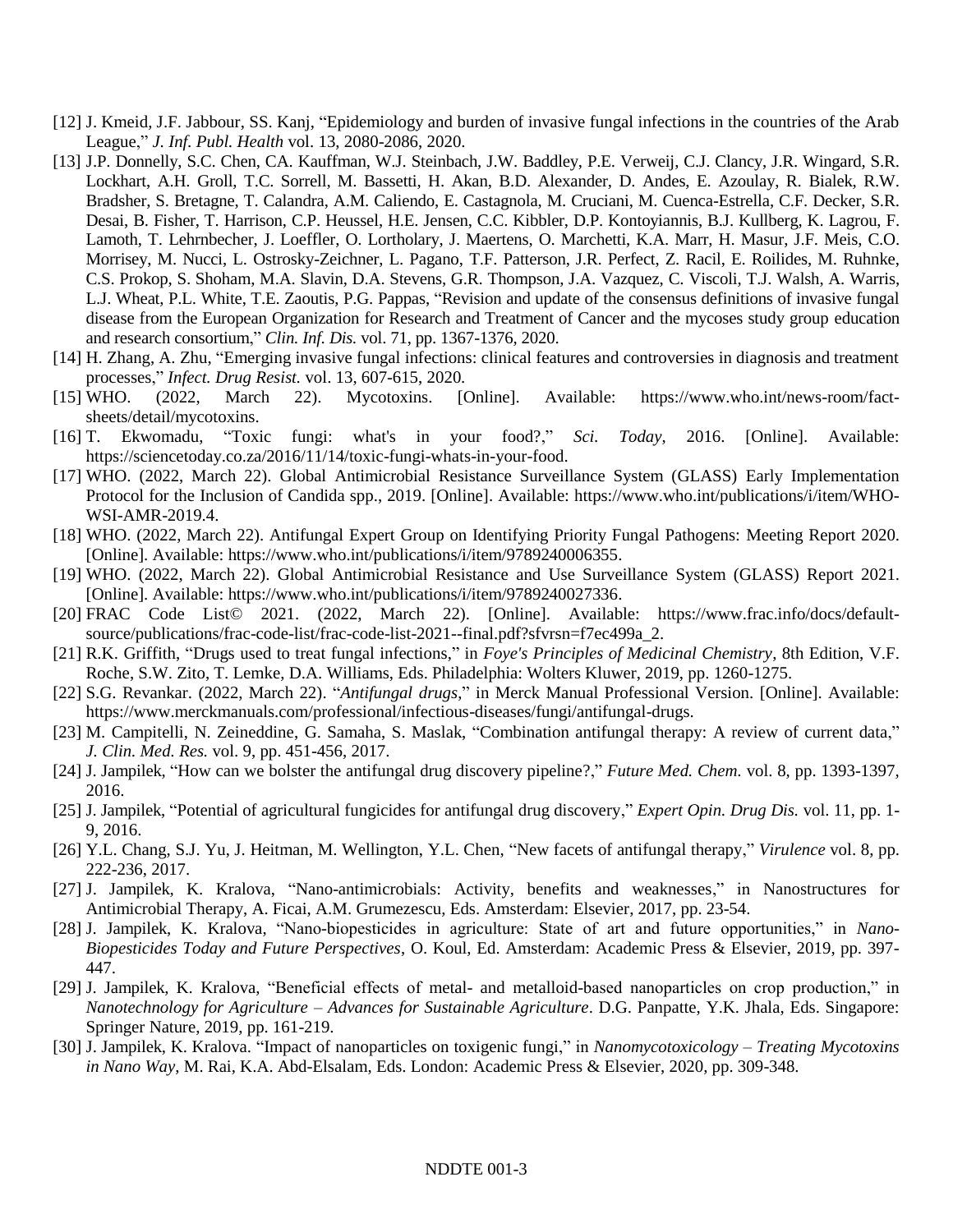- [12] J. Kmeid, J.F. Jabbour, SS. Kanj, "Epidemiology and burden of invasive fungal infections in the countries of the Arab League," *J. Inf. Publ. Health* vol. 13, 2080-2086, 2020.
- [13] J.P. Donnelly, S.C. Chen, CA. Kauffman, W.J. Steinbach, J.W. Baddley, P.E. Verweij, C.J. Clancy, J.R. Wingard, S.R. Lockhart, A.H. Groll, T.C. Sorrell, M. Bassetti, H. Akan, B.D. Alexander, D. Andes, E. Azoulay, R. Bialek, R.W. Bradsher, S. Bretagne, T. Calandra, A.M. Caliendo, E. Castagnola, M. Cruciani, M. Cuenca-Estrella, C.F. Decker, S.R. Desai, B. Fisher, T. Harrison, C.P. Heussel, H.E. Jensen, C.C. Kibbler, D.P. Kontoyiannis, B.J. Kullberg, K. Lagrou, F. Lamoth, T. Lehrnbecher, J. Loeffler, O. Lortholary, J. Maertens, O. Marchetti, K.A. Marr, H. Masur, J.F. Meis, C.O. Morrisey, M. Nucci, L. Ostrosky-Zeichner, L. Pagano, T.F. Patterson, J.R. Perfect, Z. Racil, E. Roilides, M. Ruhnke, C.S. Prokop, S. Shoham, M.A. Slavin, D.A. Stevens, G.R. Thompson, J.A. Vazquez, C. Viscoli, T.J. Walsh, A. Warris, L.J. Wheat, P.L. White, T.E. Zaoutis, P.G. Pappas, "Revision and update of the consensus definitions of invasive fungal disease from the European Organization for Research and Treatment of Cancer and the mycoses study group education and research consortium," *Clin. Inf. Dis.* vol. 71, pp. 1367-1376, 2020.
- [14] H. Zhang, A. Zhu, "Emerging invasive fungal infections: clinical features and controversies in diagnosis and treatment processes," *Infect. Drug Resist.* vol. 13, 607-615, 2020.
- [15] WHO. (2022, March 22). Mycotoxins. [Online]. Available: https://www.who.int/news-room/factsheets/detail/mycotoxins.
- [16] T. Ekwomadu, "Toxic fungi: what's in your food?," *Sci. Today*, 2016. [Online]. Available: https://sciencetoday.co.za/2016/11/14/toxic-fungi-whats-in-your-food.
- [17] WHO. (2022, March 22). Global Antimicrobial Resistance Surveillance System (GLASS) Early Implementation Protocol for the Inclusion of Candida spp., 2019. [Online]. Available: https://www.who.int/publications/i/item/WHO-WSI-AMR-2019.4.
- [18] WHO. (2022, March 22). Antifungal Expert Group on Identifying Priority Fungal Pathogens: Meeting Report 2020. [Online]. Available: https://www.who.int/publications/i/item/9789240006355.
- [19] WHO. (2022, March 22). Global Antimicrobial Resistance and Use Surveillance System (GLASS) Report 2021. [Online]. Available: https://www.who.int/publications/i/item/9789240027336.
- [20] FRAC Code List© 2021. (2022, March 22). [Online]. Available: https://www.frac.info/docs/defaultsource/publications/frac-code-list/frac-code-list-2021--final.pdf?sfvrsn=f7ec499a\_2.
- [21] R.K. Griffith, "Drugs used to treat fungal infections," in *Foye's Principles of Medicinal Chemistry*, 8th Edition, V.F. Roche, S.W. Zito, T. Lemke, D.A. Williams, Eds. Philadelphia: Wolters Kluwer, 2019, pp. 1260-1275.
- [22] S.G. Revankar. (2022, March 22). "*Antifungal drugs*," in Merck Manual Professional Version. [Online]. Available: https://www.merckmanuals.com/professional/infectious-diseases/fungi/antifungal-drugs.
- [23] M. Campitelli, N. Zeineddine, G. Samaha, S. Maslak, "Combination antifungal therapy: A review of current data," *J. Clin. Med. Res.* vol. 9, pp. 451-456, 2017.
- [24] J. Jampilek, "How can we bolster the antifungal drug discovery pipeline?," *Future Med. Chem.* vol. 8, pp. 1393-1397, 2016.
- [25] J. Jampilek, "Potential of agricultural fungicides for antifungal drug discovery," *Expert Opin. Drug Dis.* vol. 11, pp. 1- 9, 2016.
- [26] Y.L. Chang, S.J. Yu, J. Heitman, M. Wellington, Y.L. Chen, "New facets of antifungal therapy," *Virulence* vol. 8, pp. 222-236, 2017.
- [27] J. Jampilek, K. Kralova, "Nano-antimicrobials: Activity, benefits and weaknesses," in Nanostructures for Antimicrobial Therapy, A. Ficai, A.M. Grumezescu, Eds. Amsterdam: Elsevier, 2017, pp. 23-54.
- [28] J. Jampilek, K. Kralova, "Nano-biopesticides in agriculture: State of art and future opportunities," in *Nano-Biopesticides Today and Future Perspectives*, O. Koul, Ed. Amsterdam: Academic Press & Elsevier, 2019, pp. 397- 447.
- [29] J. Jampilek, K. Kralova, "Beneficial effects of metal- and metalloid-based nanoparticles on crop production," in *Nanotechnology for Agriculture – Advances for Sustainable Agriculture*. D.G. Panpatte, Y.K. Jhala, Eds. Singapore: Springer Nature, 2019, pp. 161-219.
- [30] J. Jampilek, K. Kralova. "Impact of nanoparticles on toxigenic fungi," in *Nanomycotoxicology – Treating Mycotoxins in Nano Way*, M. Rai, K.A. Abd-Elsalam, Eds. London: Academic Press & Elsevier, 2020, pp. 309-348.